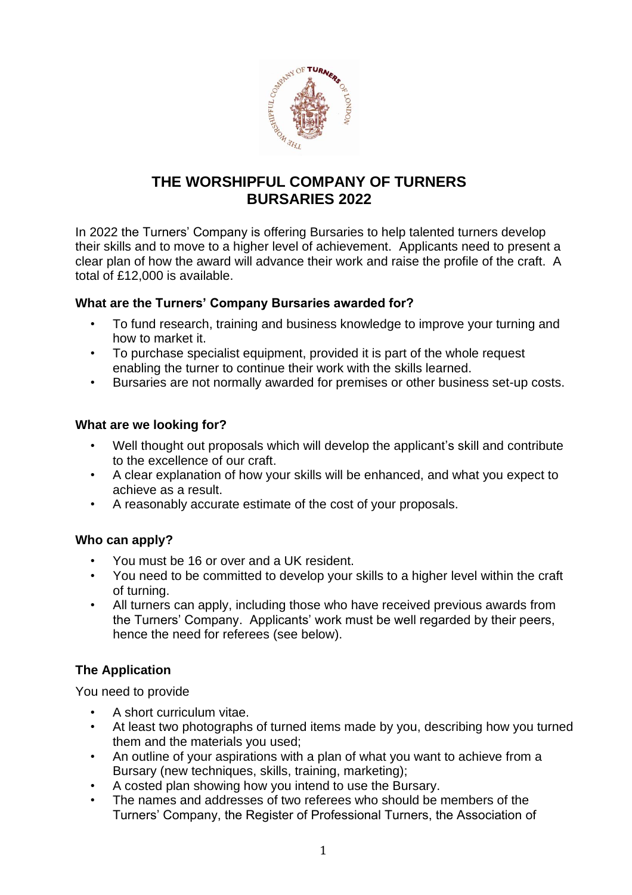

# **THE WORSHIPFUL COMPANY OF TURNERS BURSARIES 2022**

In 2022 the Turners' Company is offering Bursaries to help talented turners develop their skills and to move to a higher level of achievement. Applicants need to present a clear plan of how the award will advance their work and raise the profile of the craft. A total of £12,000 is available.

### **What are the Turners' Company Bursaries awarded for?**

- To fund research, training and business knowledge to improve your turning and how to market it.
- To purchase specialist equipment, provided it is part of the whole request enabling the turner to continue their work with the skills learned.
- Bursaries are not normally awarded for premises or other business set-up costs.

### **What are we looking for?**

- Well thought out proposals which will develop the applicant's skill and contribute to the excellence of our craft.
- A clear explanation of how your skills will be enhanced, and what you expect to achieve as a result.
- A reasonably accurate estimate of the cost of your proposals.

# **Who can apply?**

- You must be 16 or over and a UK resident.
- You need to be committed to develop your skills to a higher level within the craft of turning.
- All turners can apply, including those who have received previous awards from the Turners' Company. Applicants' work must be well regarded by their peers, hence the need for referees (see below).

# **The Application**

You need to provide

- A short curriculum vitae.
- At least two photographs of turned items made by you, describing how you turned them and the materials you used;
- An outline of your aspirations with a plan of what you want to achieve from a Bursary (new techniques, skills, training, marketing);
- A costed plan showing how you intend to use the Bursary.
- The names and addresses of two referees who should be members of the Turners' Company, the Register of Professional Turners, the Association of